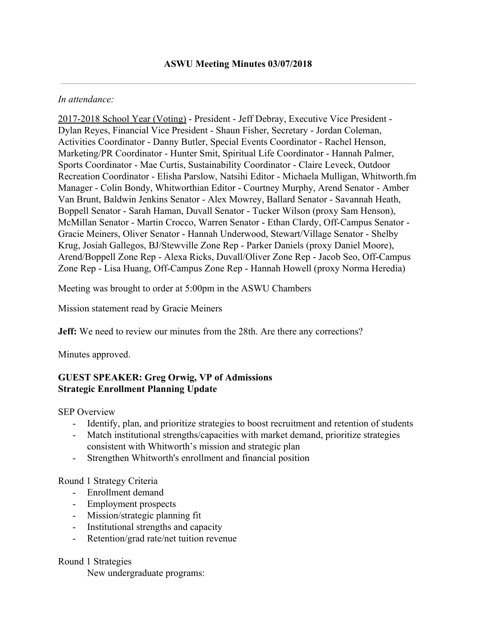#### *In attendance:*

2017-2018 School Year (Voting) - President - Jeff Debray, Executive Vice President - Dylan Reyes, Financial Vice President - Shaun Fisher, Secretary - Jordan Coleman, Activities Coordinator - Danny Butler, Special Events Coordinator - Rachel Henson, Marketing/PR Coordinator - Hunter Smit, Spiritual Life Coordinator - Hannah Palmer, Sports Coordinator - Mae Curtis, Sustainability Coordinator - Claire Leveck, Outdoor Recreation Coordinator - Elisha Parslow, Natsihi Editor - Michaela Mulligan, Whitworth.fm Manager - Colin Bondy, Whitworthian Editor - Courtney Murphy, Arend Senator - Amber Van Brunt, Baldwin Jenkins Senator - Alex Mowrey, Ballard Senator - Savannah Heath, Boppell Senator - Sarah Haman, Duvall Senator - Tucker Wilson (proxy Sam Henson), McMillan Senator - Martin Crocco, Warren Senator - Ethan Clardy, Off-Campus Senator - Gracie Meiners, Oliver Senator - Hannah Underwood, Stewart/Village Senator - Shelby Krug, Josiah Gallegos, BJ/Stewville Zone Rep - Parker Daniels (proxy Daniel Moore), Arend/Boppell Zone Rep - Alexa Ricks, Duvall/Oliver Zone Rep - Jacob Seo, Off-Campus Zone Rep - Lisa Huang, Off-Campus Zone Rep - Hannah Howell (proxy Norma Heredia)

Meeting was brought to order at 5:00pm in the ASWU Chambers

Mission statement read by Gracie Meiners

**Jeff:** We need to review our minutes from the 28th. Are there any corrections?

Minutes approved.

### **GUEST SPEAKER: Greg Orwig, VP of Admissions Strategic Enrollment Planning Update**

SEP Overview

- Identify, plan, and prioritize strategies to boost recruitment and retention of students
- Match institutional strengths/capacities with market demand, prioritize strategies consistent with Whitworth's mission and strategic plan
- Strengthen Whitworth's enrollment and financial position

### Round 1 Strategy Criteria

- Enrollment demand
- Employment prospects
- Mission/strategic planning fit
- Institutional strengths and capacity
- Retention/grad rate/net tuition revenue

### Round 1 Strategies

New undergraduate programs: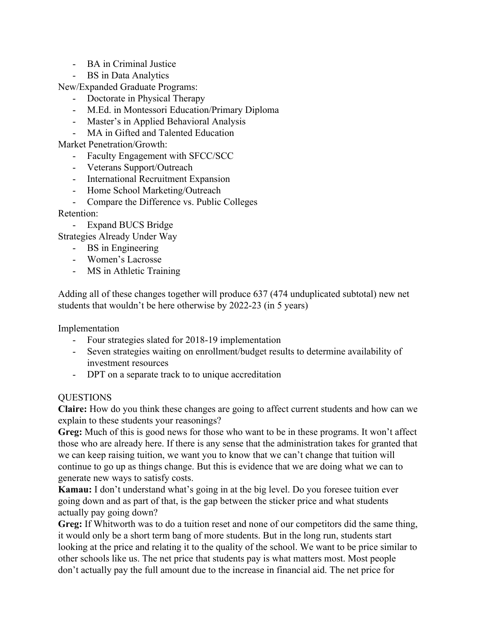- BA in Criminal Justice
- BS in Data Analytics

New/Expanded Graduate Programs:

- Doctorate in Physical Therapy
- M.Ed. in Montessori Education/Primary Diploma
- Master's in Applied Behavioral Analysis
- MA in Gifted and Talented Education

Market Penetration/Growth:

- Faculty Engagement with SFCC/SCC
- Veterans Support/Outreach
- International Recruitment Expansion
- Home School Marketing/Outreach
- Compare the Difference vs. Public Colleges

Retention:

- Expand BUCS Bridge

Strategies Already Under Way

- BS in Engineering
- Women's Lacrosse
- MS in Athletic Training

Adding all of these changes together will produce 637 (474 unduplicated subtotal) new net students that wouldn't be here otherwise by 2022-23 (in 5 years)

Implementation

- Four strategies slated for 2018-19 implementation
- Seven strategies waiting on enrollment/budget results to determine availability of investment resources
- DPT on a separate track to to unique accreditation

#### **QUESTIONS**

**Claire:** How do you think these changes are going to affect current students and how can we explain to these students your reasonings?

**Greg:** Much of this is good news for those who want to be in these programs. It won't affect those who are already here. If there is any sense that the administration takes for granted that we can keep raising tuition, we want you to know that we can't change that tuition will continue to go up as things change. But this is evidence that we are doing what we can to generate new ways to satisfy costs.

**Kamau:** I don't understand what's going in at the big level. Do you foresee tuition ever going down and as part of that, is the gap between the sticker price and what students actually pay going down?

**Greg:** If Whitworth was to do a tuition reset and none of our competitors did the same thing, it would only be a short term bang of more students. But in the long run, students start looking at the price and relating it to the quality of the school. We want to be price similar to other schools like us. The net price that students pay is what matters most. Most people don't actually pay the full amount due to the increase in financial aid. The net price for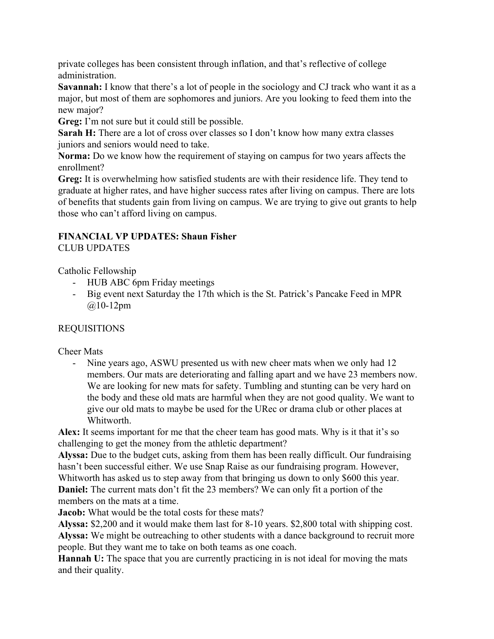private colleges has been consistent through inflation, and that's reflective of college administration.

**Savannah:** I know that there's a lot of people in the sociology and CJ track who want it as a major, but most of them are sophomores and juniors. Are you looking to feed them into the new major?

**Greg:** I'm not sure but it could still be possible.

**Sarah H:** There are a lot of cross over classes so I don't know how many extra classes juniors and seniors would need to take.

**Norma:** Do we know how the requirement of staying on campus for two years affects the enrollment?

**Greg:** It is overwhelming how satisfied students are with their residence life. They tend to graduate at higher rates, and have higher success rates after living on campus. There are lots of benefits that students gain from living on campus. We are trying to give out grants to help those who can't afford living on campus.

#### **FINANCIAL VP UPDATES: Shaun Fisher** CLUB UPDATES

Catholic Fellowship

- HUB ABC 6pm Friday meetings
- Big event next Saturday the 17th which is the St. Patrick's Pancake Feed in MPR  $@10-12pm$

REQUISITIONS

Cheer Mats

- Nine years ago, ASWU presented us with new cheer mats when we only had 12 members. Our mats are deteriorating and falling apart and we have 23 members now. We are looking for new mats for safety. Tumbling and stunting can be very hard on the body and these old mats are harmful when they are not good quality. We want to give our old mats to maybe be used for the URec or drama club or other places at Whitworth.

**Alex:** It seems important for me that the cheer team has good mats. Why is it that it's so challenging to get the money from the athletic department?

**Alyssa:** Due to the budget cuts, asking from them has been really difficult. Our fundraising hasn't been successful either. We use Snap Raise as our fundraising program. However, Whitworth has asked us to step away from that bringing us down to only \$600 this year. **Daniel:** The current mats don't fit the 23 members? We can only fit a portion of the members on the mats at a time.

**Jacob:** What would be the total costs for these mats?

**Alyssa:** \$2,200 and it would make them last for 8-10 years. \$2,800 total with shipping cost. **Alyssa:** We might be outreaching to other students with a dance background to recruit more people. But they want me to take on both teams as one coach.

**Hannah U:** The space that you are currently practicing in is not ideal for moving the mats and their quality.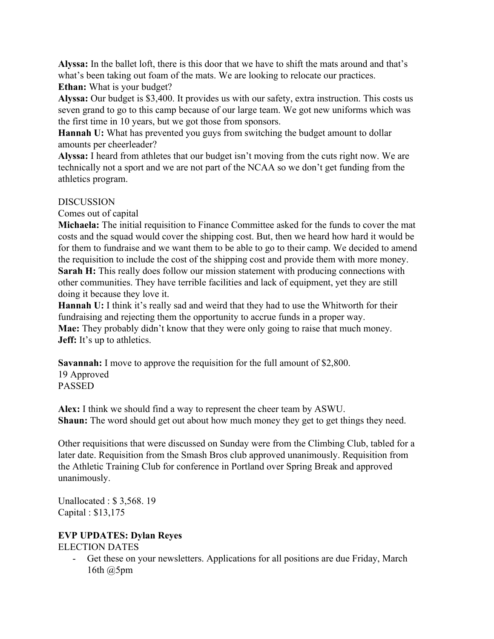**Alyssa:** In the ballet loft, there is this door that we have to shift the mats around and that's what's been taking out foam of the mats. We are looking to relocate our practices. **Ethan:** What is your budget?

**Alyssa:** Our budget is \$3,400. It provides us with our safety, extra instruction. This costs us seven grand to go to this camp because of our large team. We got new uniforms which was the first time in 10 years, but we got those from sponsors.

**Hannah U:** What has prevented you guys from switching the budget amount to dollar amounts per cheerleader?

**Alyssa:** I heard from athletes that our budget isn't moving from the cuts right now. We are technically not a sport and we are not part of the NCAA so we don't get funding from the athletics program.

### DISCUSSION

Comes out of capital

**Michaela:** The initial requisition to Finance Committee asked for the funds to cover the mat costs and the squad would cover the shipping cost. But, then we heard how hard it would be for them to fundraise and we want them to be able to go to their camp. We decided to amend the requisition to include the cost of the shipping cost and provide them with more money. **Sarah H:** This really does follow our mission statement with producing connections with other communities. They have terrible facilities and lack of equipment, yet they are still doing it because they love it.

**Hannah U:** I think it's really sad and weird that they had to use the Whitworth for their fundraising and rejecting them the opportunity to accrue funds in a proper way. **Mae:** They probably didn't know that they were only going to raise that much money. **Jeff:** It's up to athletics.

**Savannah:** I move to approve the requisition for the full amount of \$2,800. 19 Approved PASSED

**Alex:** I think we should find a way to represent the cheer team by ASWU. **Shaun:** The word should get out about how much money they get to get things they need.

Other requisitions that were discussed on Sunday were from the Climbing Club, tabled for a later date. Requisition from the Smash Bros club approved unanimously. Requisition from the Athletic Training Club for conference in Portland over Spring Break and approved unanimously.

Unallocated : \$ 3,568. 19 Capital : \$13,175

### **EVP UPDATES: Dylan Reyes**

ELECTION DATES

- Get these on your newsletters. Applications for all positions are due Friday, March 16th @5pm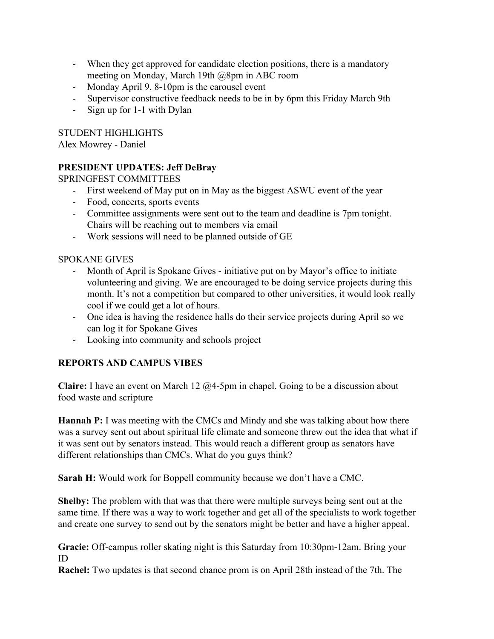- When they get approved for candidate election positions, there is a mandatory meeting on Monday, March 19th @8pm in ABC room
- Monday April 9, 8-10pm is the carousel event
- Supervisor constructive feedback needs to be in by 6pm this Friday March 9th
- Sign up for 1-1 with Dylan

STUDENT HIGHLIGHTS

Alex Mowrey - Daniel

## **PRESIDENT UPDATES: Jeff DeBray**

SPRINGFEST COMMITTEES

- First weekend of May put on in May as the biggest ASWU event of the year
- Food, concerts, sports events
- Committee assignments were sent out to the team and deadline is 7pm tonight. Chairs will be reaching out to members via email
- Work sessions will need to be planned outside of GE

### SPOKANE GIVES

- Month of April is Spokane Gives initiative put on by Mayor's office to initiate volunteering and giving. We are encouraged to be doing service projects during this month. It's not a competition but compared to other universities, it would look really cool if we could get a lot of hours.
- One idea is having the residence halls do their service projects during April so we can log it for Spokane Gives
- Looking into community and schools project

# **REPORTS AND CAMPUS VIBES**

**Claire:** I have an event on March 12 @4-5pm in chapel. Going to be a discussion about food waste and scripture

**Hannah P:** I was meeting with the CMCs and Mindy and she was talking about how there was a survey sent out about spiritual life climate and someone threw out the idea that what if it was sent out by senators instead. This would reach a different group as senators have different relationships than CMCs. What do you guys think?

**Sarah H:** Would work for Boppell community because we don't have a CMC.

**Shelby:** The problem with that was that there were multiple surveys being sent out at the same time. If there was a way to work together and get all of the specialists to work together and create one survey to send out by the senators might be better and have a higher appeal.

**Gracie:** Off-campus roller skating night is this Saturday from 10:30pm-12am. Bring your ID

**Rachel:** Two updates is that second chance prom is on April 28th instead of the 7th. The